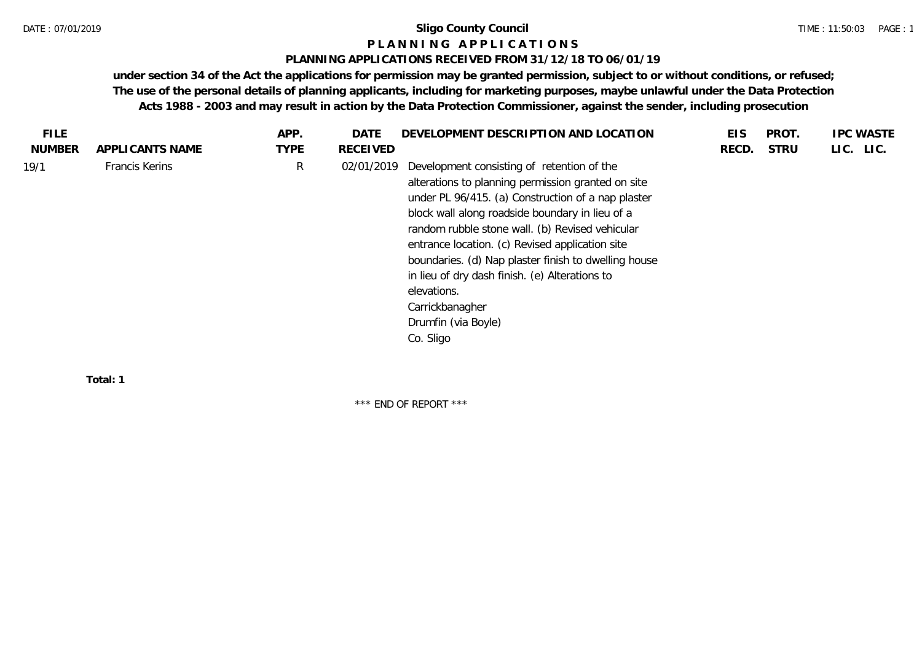### DATE : 07/01/2019 **Sligo County Council**

## **P L A N N I N G A P P L I C A T I O N S**

### **PLANNING APPLICATIONS RECEIVED FROM 31/12/18 TO 06/01/19**

**under section 34 of the Act the applications for permission may be granted permission, subject to or without conditions, or refused; The use of the personal details of planning applicants, including for marketing purposes, maybe unlawful under the Data Protection Acts 1988 - 2003 and may result in action by the Data Protection Commissioner, against the sender, including prosecution**

| <b>TYPE</b><br><b>NUMBER</b><br><b>STRU</b><br>LIC. LIC.<br>APPLICANTS NAME<br>RECEIVED<br>RECD.<br>R<br><b>Francis Kerins</b><br>Development consisting of retention of the<br>02/01/2019<br>alterations to planning permission granted on site<br>under PL 96/415. (a) Construction of a nap plaster<br>block wall along roadside boundary in lieu of a<br>random rubble stone wall. (b) Revised vehicular | <b>FILE</b> | APP. | DATE | DEVELOPMENT DESCRIPTION AND LOCATION            | EIS | PROT. | <b>IPC WASTE</b> |
|--------------------------------------------------------------------------------------------------------------------------------------------------------------------------------------------------------------------------------------------------------------------------------------------------------------------------------------------------------------------------------------------------------------|-------------|------|------|-------------------------------------------------|-----|-------|------------------|
| 19/1                                                                                                                                                                                                                                                                                                                                                                                                         |             |      |      |                                                 |     |       |                  |
| boundaries. (d) Nap plaster finish to dwelling house<br>in lieu of dry dash finish. (e) Alterations to<br>elevations.<br>Carrickbanagher<br>Drumfin (via Boyle)<br>Co. Sligo                                                                                                                                                                                                                                 |             |      |      | entrance location. (c) Revised application site |     |       |                  |

**Total: 1**

\*\*\* END OF REPORT \*\*\*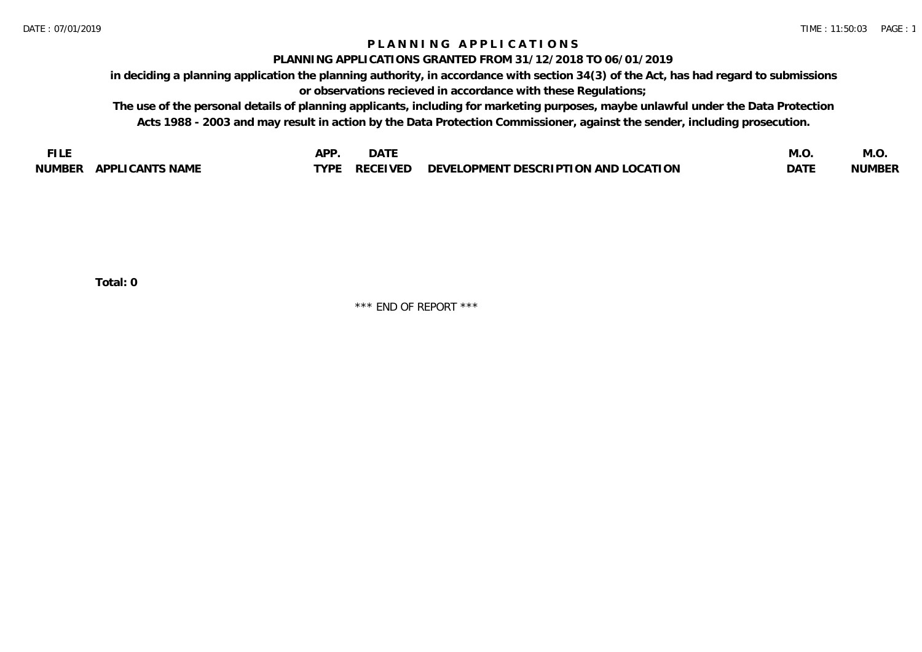## **P L A N N I N G A P P L I C A T I O N S**

### **PLANNING APPLICATIONS GRANTED FROM 31/12/2018 TO 06/01/2019**

**in deciding a planning application the planning authority, in accordance with section 34(3) of the Act, has had regard to submissions or observations recieved in accordance with these Regulations;**

**The use of the personal details of planning applicants, including for marketing purposes, maybe unlawful under the Data Protection Acts 1988 - 2003 and may result in action by the Data Protection Commissioner, against the sender, including prosecution.**

| $ -$                             | חמו  | <b>DATE</b>     |                                                                             | با ۱۷۱، | IVI.V         |
|----------------------------------|------|-----------------|-----------------------------------------------------------------------------|---------|---------------|
|                                  |      |                 |                                                                             |         |               |
| APPLICANTS NAME<br><b>NUMBER</b> | TVDF | <b>DECEIVED</b> | <b>LOCATION</b><br><b>LOPMENT DESCRIPTION A</b><br>. AND '<br><b>DEVELL</b> | DAT!    | <b>NUMBER</b> |

**Total: 0**

\*\*\* END OF REPORT \*\*\*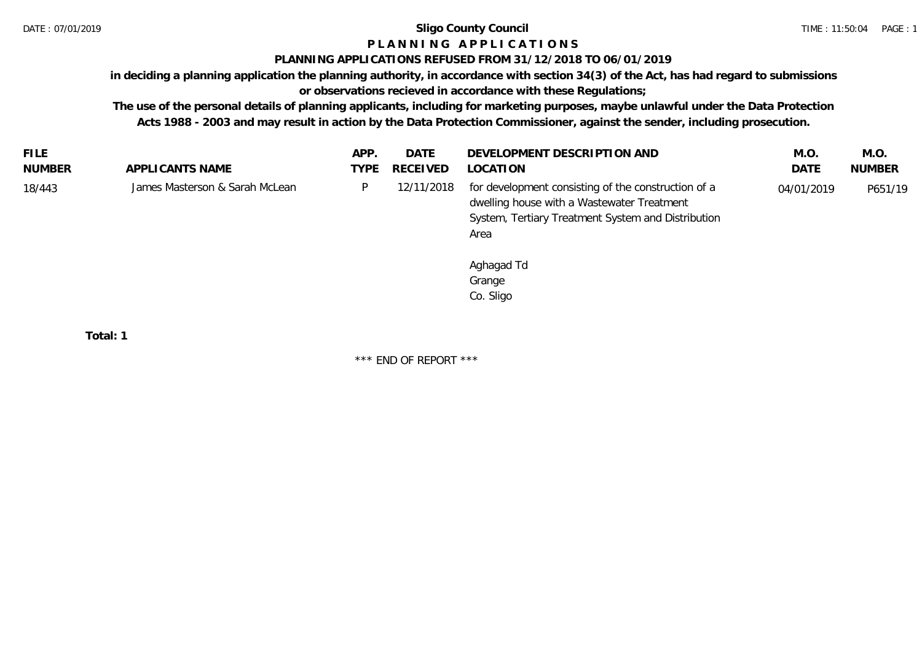### DATE : 07/01/2019 **Sligo County Council**

# **P L A N N I N G A P P L I C A T I O N S**

## **PLANNING APPLICATIONS REFUSED FROM 31/12/2018 TO 06/01/2019**

**in deciding a planning application the planning authority, in accordance with section 34(3) of the Act, has had regard to submissions** 

# **or observations recieved in accordance with these Regulations;**

**The use of the personal details of planning applicants, including for marketing purposes, maybe unlawful under the Data Protection Acts 1988 - 2003 and may result in action by the Data Protection Commissioner, against the sender, including prosecution.**

| <b>FILE</b> |                                | APP  | <b>DATE</b> | DEVELOPMENT DESCRIPTION AND                                                                                                                                     | M.O        | M.O.          |
|-------------|--------------------------------|------|-------------|-----------------------------------------------------------------------------------------------------------------------------------------------------------------|------------|---------------|
| NUMBER      | APPLICANTS NAME                | TYPE | RECEIVED    | LOCATION                                                                                                                                                        | DATE       | <b>NUMBER</b> |
| 18/443      | James Masterson & Sarah McLean |      | 12/11/2018  | for development consisting of the construction of a<br>dwelling house with a Wastewater Treatment<br>System, Tertiary Treatment System and Distribution<br>Area | 04/01/2019 | P651/19       |
|             |                                |      |             | Aghagad Td                                                                                                                                                      |            |               |

Grange Co. Sligo

**Total: 1**

\*\*\* END OF REPORT \*\*\*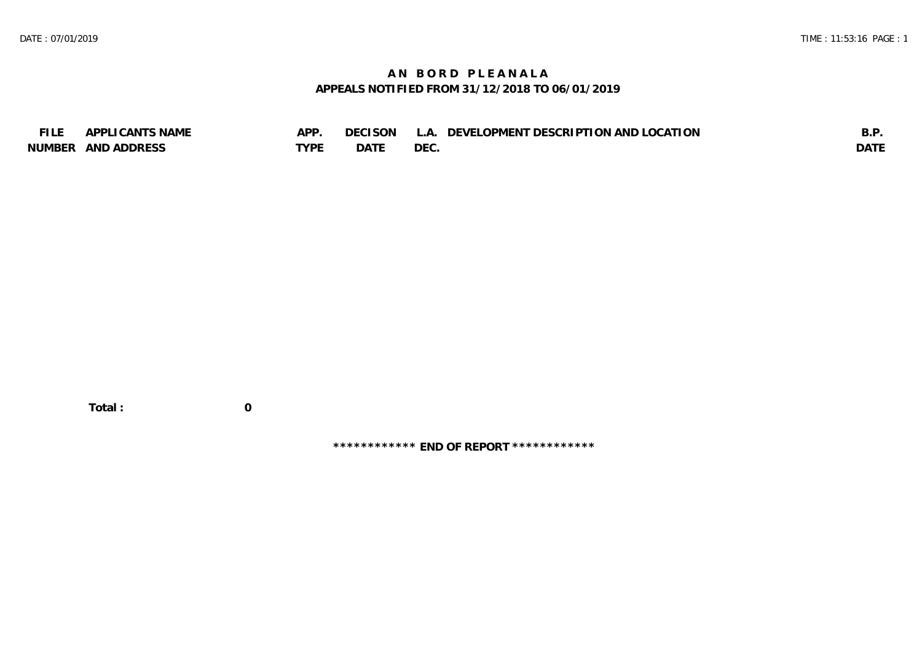# **A N B O R D P L E A N A L A APPEALS NOTIFIED FROM 31/12/2018 TO 06/01/2019**

| <b>FILE</b> | APPLICANTS NAME    | APP  | DECISON | L.A. DEVELOPMENT DESCRIPTION AND LOCATION | B.F         |
|-------------|--------------------|------|---------|-------------------------------------------|-------------|
|             | NUMBER AND ADDRESS | TYPF | DATF    | DEC.                                      | <b>DATE</b> |

**\*\*\*\*\*\*\*\*\*\*\*\* END OF REPORT \*\*\*\*\*\*\*\*\*\*\*\***